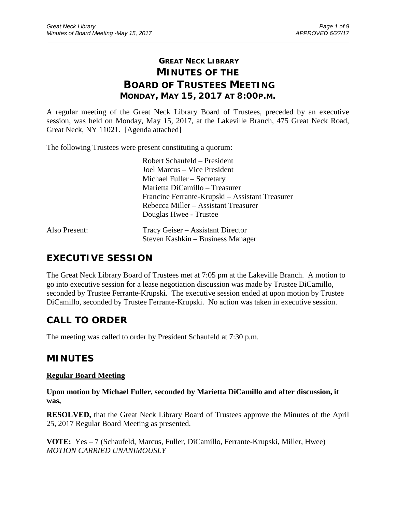# **GREAT NECK LIBRARY MINUTES OF THE BOARD OF TRUSTEES MEETING MONDAY, MAY 15, 2017 AT 8:00P.M.**

\_\_\_\_\_\_\_\_\_\_\_\_\_\_\_\_\_\_\_\_\_\_\_\_\_\_\_\_\_\_\_\_\_\_\_\_\_\_\_\_\_\_\_\_\_\_\_\_\_\_\_\_\_\_\_\_\_\_\_\_\_\_\_\_\_\_\_\_\_\_\_\_\_\_\_\_\_\_\_\_\_\_\_\_\_\_\_\_\_\_\_\_\_

A regular meeting of the Great Neck Library Board of Trustees, preceded by an executive session, was held on Monday, May 15, 2017, at the Lakeville Branch, 475 Great Neck Road, Great Neck, NY 11021. [Agenda attached]

The following Trustees were present constituting a quorum:

| Robert Schaufeld – President                    |
|-------------------------------------------------|
| Joel Marcus – Vice President                    |
| Michael Fuller – Secretary                      |
| Marietta DiCamillo – Treasurer                  |
| Francine Ferrante-Krupski – Assistant Treasurer |
| Rebecca Miller – Assistant Treasurer            |
| Douglas Hwee - Trustee                          |
|                                                 |

| Also Present: | Tracy Geiser – Assistant Director |
|---------------|-----------------------------------|
|               | Steven Kashkin – Business Manager |

# **EXECUTIVE SESSION**

The Great Neck Library Board of Trustees met at 7:05 pm at the Lakeville Branch. A motion to go into executive session for a lease negotiation discussion was made by Trustee DiCamillo, seconded by Trustee Ferrante-Krupski. The executive session ended at upon motion by Trustee DiCamillo, seconded by Trustee Ferrante-Krupski. No action was taken in executive session.

# **CALL TO ORDER**

The meeting was called to order by President Schaufeld at 7:30 p.m.

# **MINUTES**

### **Regular Board Meeting**

**Upon motion by Michael Fuller, seconded by Marietta DiCamillo and after discussion, it was,**

**RESOLVED,** that the Great Neck Library Board of Trustees approve the Minutes of the April 25, 2017 Regular Board Meeting as presented.

**VOTE:** Yes – 7 (Schaufeld, Marcus, Fuller, DiCamillo, Ferrante-Krupski, Miller, Hwee) *MOTION CARRIED UNANIMOUSLY*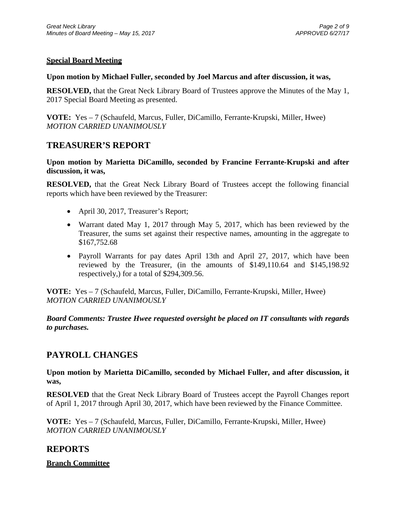### **Special Board Meeting**

#### **Upon motion by Michael Fuller, seconded by Joel Marcus and after discussion, it was,**

**RESOLVED,** that the Great Neck Library Board of Trustees approve the Minutes of the May 1, 2017 Special Board Meeting as presented.

**VOTE:** Yes – 7 (Schaufeld, Marcus, Fuller, DiCamillo, Ferrante-Krupski, Miller, Hwee) *MOTION CARRIED UNANIMOUSLY*

## **TREASURER'S REPORT**

**Upon motion by Marietta DiCamillo, seconded by Francine Ferrante-Krupski and after discussion, it was,**

**RESOLVED,** that the Great Neck Library Board of Trustees accept the following financial reports which have been reviewed by the Treasurer:

- April 30, 2017, Treasurer's Report;
- Warrant dated May 1, 2017 through May 5, 2017, which has been reviewed by the Treasurer, the sums set against their respective names, amounting in the aggregate to \$167,752.68
- Payroll Warrants for pay dates April 13th and April 27, 2017, which have been reviewed by the Treasurer, (in the amounts of \$149,110.64 and \$145,198.92 respectively,) for a total of \$294,309.56.

**VOTE:** Yes – 7 (Schaufeld, Marcus, Fuller, DiCamillo, Ferrante-Krupski, Miller, Hwee) *MOTION CARRIED UNANIMOUSLY*

*Board Comments: Trustee Hwee requested oversight be placed on IT consultants with regards to purchases.*

# **PAYROLL CHANGES**

**Upon motion by Marietta DiCamillo, seconded by Michael Fuller, and after discussion, it was,**

**RESOLVED** that the Great Neck Library Board of Trustees accept the Payroll Changes report of April 1, 2017 through April 30, 2017, which have been reviewed by the Finance Committee.

**VOTE:** Yes – 7 (Schaufeld, Marcus, Fuller, DiCamillo, Ferrante-Krupski, Miller, Hwee) *MOTION CARRIED UNANIMOUSLY*

## **REPORTS**

### **Branch Committee**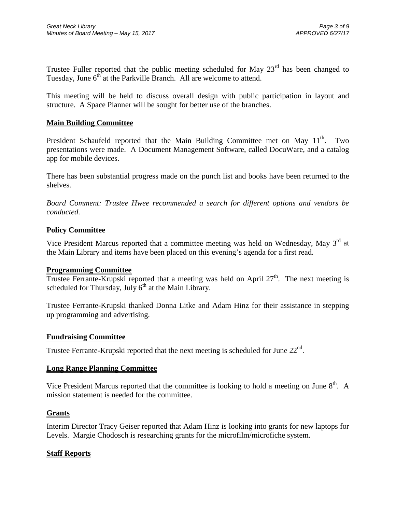Trustee Fuller reported that the public meeting scheduled for May  $23<sup>rd</sup>$  has been changed to Tuesday, June  $6<sup>th</sup>$  at the Parkville Branch. All are welcome to attend.

This meeting will be held to discuss overall design with public participation in layout and structure. A Space Planner will be sought for better use of the branches.

#### **Main Building Committee**

President Schaufeld reported that the Main Building Committee met on May  $11<sup>th</sup>$ . Two presentations were made. A Document Management Software, called DocuWare, and a catalog app for mobile devices.

There has been substantial progress made on the punch list and books have been returned to the shelves.

*Board Comment: Trustee Hwee recommended a search for different options and vendors be conducted.*

#### **Policy Committee**

Vice President Marcus reported that a committee meeting was held on Wednesday, May  $3<sup>rd</sup>$  at the Main Library and items have been placed on this evening's agenda for a first read.

#### **Programming Committee**

Trustee Ferrante-Krupski reported that a meeting was held on April  $27<sup>th</sup>$ . The next meeting is scheduled for Thursday, July  $6<sup>th</sup>$  at the Main Library.

Trustee Ferrante-Krupski thanked Donna Litke and Adam Hinz for their assistance in stepping up programming and advertising.

#### **Fundraising Committee**

Trustee Ferrante-Krupski reported that the next meeting is scheduled for June  $22^{nd}$ .

#### **Long Range Planning Committee**

Vice President Marcus reported that the committee is looking to hold a meeting on June 8<sup>th</sup>. A mission statement is needed for the committee.

#### **Grants**

Interim Director Tracy Geiser reported that Adam Hinz is looking into grants for new laptops for Levels. Margie Chodosch is researching grants for the microfilm/microfiche system.

#### **Staff Reports**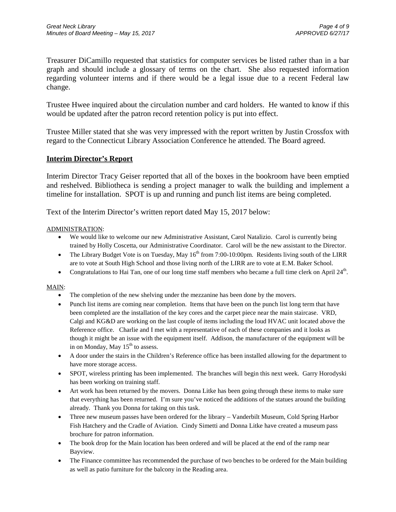Treasurer DiCamillo requested that statistics for computer services be listed rather than in a bar graph and should include a glossary of terms on the chart. She also requested information regarding volunteer interns and if there would be a legal issue due to a recent Federal law change.

Trustee Hwee inquired about the circulation number and card holders. He wanted to know if this would be updated after the patron record retention policy is put into effect.

Trustee Miller stated that she was very impressed with the report written by Justin Crossfox with regard to the Connecticut Library Association Conference he attended. The Board agreed.

#### **Interim Director's Report**

Interim Director Tracy Geiser reported that all of the boxes in the bookroom have been emptied and reshelved. Bibliotheca is sending a project manager to walk the building and implement a timeline for installation. SPOT is up and running and punch list items are being completed.

Text of the Interim Director's written report dated May 15, 2017 below:

#### ADMINISTRATION:

- We would like to welcome our new Administrative Assistant, Carol Natalizio. Carol is currently being trained by Holly Coscetta, our Administrative Coordinator. Carol will be the new assistant to the Director.
- The Library Budget Vote is on Tuesday, May  $16<sup>th</sup>$  from 7:00-10:00pm. Residents living south of the LIRR are to vote at South High School and those living north of the LIRR are to vote at E.M. Baker School.
- Congratulations to Hai Tan, one of our long time staff members who became a full time clerk on April  $24<sup>th</sup>$ .

#### MAIN:

- The completion of the new shelving under the mezzanine has been done by the movers.
- Punch list items are coming near completion. Items that have been on the punch list long term that have been completed are the installation of the key cores and the carpet piece near the main staircase. VRD, Calgi and KG&D are working on the last couple of items including the loud HVAC unit located above the Reference office. Charlie and I met with a representative of each of these companies and it looks as though it might be an issue with the equipment itself. Addison, the manufacturer of the equipment will be in on Monday, May  $15<sup>th</sup>$  to assess.
- A door under the stairs in the Children's Reference office has been installed allowing for the department to have more storage access.
- SPOT, wireless printing has been implemented. The branches will begin this next week. Garry Horodyski has been working on training staff.
- Art work has been returned by the movers. Donna Litke has been going through these items to make sure that everything has been returned. I'm sure you've noticed the additions of the statues around the building already. Thank you Donna for taking on this task.
- Three new museum passes have been ordered for the library Vanderbilt Museum, Cold Spring Harbor Fish Hatchery and the Cradle of Aviation. Cindy Simetti and Donna Litke have created a museum pass brochure for patron information.
- The book drop for the Main location has been ordered and will be placed at the end of the ramp near Bayview.
- The Finance committee has recommended the purchase of two benches to be ordered for the Main building as well as patio furniture for the balcony in the Reading area.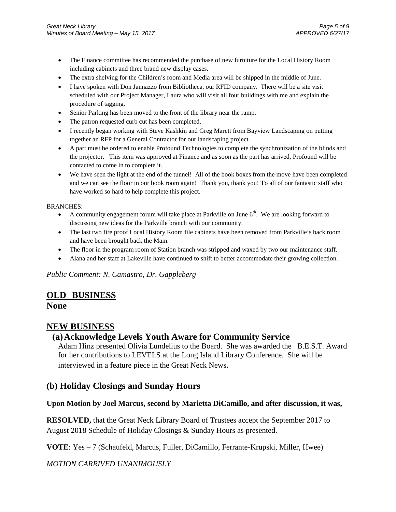- The Finance committee has recommended the purchase of new furniture for the Local History Room including cabinets and three brand new display cases.
- The extra shelving for the Children's room and Media area will be shipped in the middle of June.
- I have spoken with Don Jannazzo from Bibliotheca, our RFID company. There will be a site visit scheduled with our Project Manager, Laura who will visit all four buildings with me and explain the procedure of tagging.
- Senior Parking has been moved to the front of the library near the ramp.
- The patron requested curb cut has been completed.
- I recently began working with Steve Kashkin and Greg Marett from Bayview Landscaping on putting together an RFP for a General Contractor for our landscaping project.
- A part must be ordered to enable Profound Technologies to complete the synchronization of the blinds and the projector. This item was approved at Finance and as soon as the part has arrived, Profound will be contacted to come in to complete it.
- We have seen the light at the end of the tunnel! All of the book boxes from the move have been completed and we can see the floor in our book room again! Thank you, thank you! To all of our fantastic staff who have worked so hard to help complete this project.

#### BRANCHES:

- A community engagement forum will take place at Parkville on June  $6<sup>th</sup>$ . We are looking forward to discussing new ideas for the Parkville branch with our community.
- The last two fire proof Local History Room file cabinets have been removed from Parkville's back room and have been brought back the Main.
- The floor in the program room of Station branch was stripped and waxed by two our maintenance staff.
- Alana and her staff at Lakeville have continued to shift to better accommodate their growing collection.

*Public Comment: N. Camastro, Dr. Gappleberg*

## **OLD BUSINESS**

**None**

## **NEW BUSINESS**

## **(a)Acknowledge Levels Youth Aware for Community Service**

Adam Hinz presented Olivia Lundelius to the Board. She was awarded the B.E.S.T. Award for her contributions to LEVELS at the Long Island Library Conference. She will be interviewed in a feature piece in the Great Neck News.

## **(b) Holiday Closings and Sunday Hours**

### **Upon Motion by Joel Marcus, second by Marietta DiCamillo, and after discussion, it was,**

**RESOLVED,** that the Great Neck Library Board of Trustees accept the September 2017 to August 2018 Schedule of Holiday Closings & Sunday Hours as presented.

**VOTE**: Yes – 7 (Schaufeld, Marcus, Fuller, DiCamillo, Ferrante-Krupski, Miller, Hwee)

*MOTION CARRIVED UNANIMOUSLY*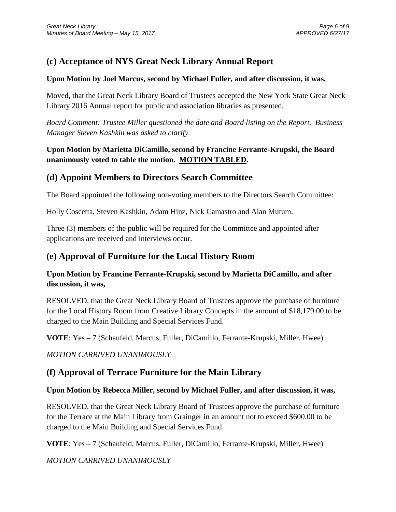# **(c) Acceptance of NYS Great Neck Library Annual Report**

#### **Upon Motion by Joel Marcus, second by Michael Fuller, and after discussion, it was,**

Moved, that the Great Neck Library Board of Trustees accepted the New York State Great Neck Library 2016 Annual report for public and association libraries as presented.

*Board Comment: Trustee Miller questioned the date and Board listing on the Report. Business Manager Steven Kashkin was asked to clarify.*

## **Upon Motion by Marietta DiCamillo, second by Francine Ferrante-Krupski, the Board unanimously voted to table the motion. MOTION TABLED.**

## **(d) Appoint Members to Directors Search Committee**

The Board appointed the following non-voting members to the Directors Search Committee:

Holly Coscetta, Steven Kashkin, Adam Hinz, Nick Camastro and Alan Mutum.

Three (3) members of the public will be required for the Committee and appointed after applications are received and interviews occur.

## **(e) Approval of Furniture for the Local History Room**

## **Upon Motion by Francine Ferrante-Krupski, second by Marietta DiCamillo, and after discussion, it was,**

RESOLVED, that the Great Neck Library Board of Trustees approve the purchase of furniture for the Local History Room from Creative Library Concepts in the amount of \$18,179.00 to be charged to the Main Building and Special Services Fund.

**VOTE**: Yes – 7 (Schaufeld, Marcus, Fuller, DiCamillo, Ferrante-Krupski, Miller, Hwee)

*MOTION CARRIVED UNANIMOUSLY*

## **(f) Approval of Terrace Furniture for the Main Library**

### **Upon Motion by Rebecca Miller, second by Michael Fuller, and after discussion, it was,**

RESOLVED, that the Great Neck Library Board of Trustees approve the purchase of furniture for the Terrace at the Main Library from Grainger in an amount not to exceed \$600.00 to be charged to the Main Building and Special Services Fund.

**VOTE**: Yes – 7 (Schaufeld, Marcus, Fuller, DiCamillo, Ferrante-Krupski, Miller, Hwee)

*MOTION CARRIVED UNANIMOUSLY*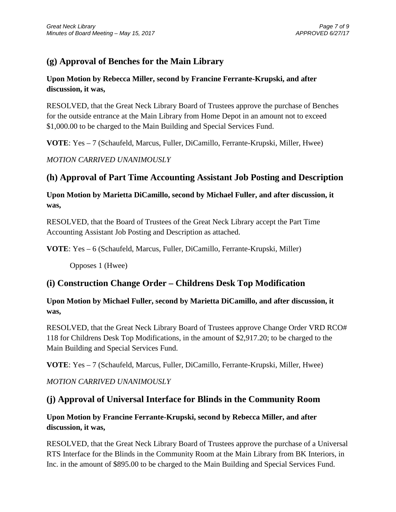# **(g) Approval of Benches for the Main Library**

## **Upon Motion by Rebecca Miller, second by Francine Ferrante-Krupski, and after discussion, it was,**

RESOLVED, that the Great Neck Library Board of Trustees approve the purchase of Benches for the outside entrance at the Main Library from Home Depot in an amount not to exceed \$1,000.00 to be charged to the Main Building and Special Services Fund.

**VOTE**: Yes – 7 (Schaufeld, Marcus, Fuller, DiCamillo, Ferrante-Krupski, Miller, Hwee)

*MOTION CARRIVED UNANIMOUSLY*

# **(h) Approval of Part Time Accounting Assistant Job Posting and Description**

## **Upon Motion by Marietta DiCamillo, second by Michael Fuller, and after discussion, it was,**

RESOLVED, that the Board of Trustees of the Great Neck Library accept the Part Time Accounting Assistant Job Posting and Description as attached.

**VOTE**: Yes – 6 (Schaufeld, Marcus, Fuller, DiCamillo, Ferrante-Krupski, Miller)

Opposes 1 (Hwee)

## **(i) Construction Change Order – Childrens Desk Top Modification**

## **Upon Motion by Michael Fuller, second by Marietta DiCamillo, and after discussion, it was,**

RESOLVED, that the Great Neck Library Board of Trustees approve Change Order VRD RCO# 118 for Childrens Desk Top Modifications, in the amount of \$2,917.20; to be charged to the Main Building and Special Services Fund.

**VOTE**: Yes – 7 (Schaufeld, Marcus, Fuller, DiCamillo, Ferrante-Krupski, Miller, Hwee)

## *MOTION CARRIVED UNANIMOUSLY*

# **(j) Approval of Universal Interface for Blinds in the Community Room**

## **Upon Motion by Francine Ferrante-Krupski, second by Rebecca Miller, and after discussion, it was,**

RESOLVED, that the Great Neck Library Board of Trustees approve the purchase of a Universal RTS Interface for the Blinds in the Community Room at the Main Library from BK Interiors, in Inc. in the amount of \$895.00 to be charged to the Main Building and Special Services Fund.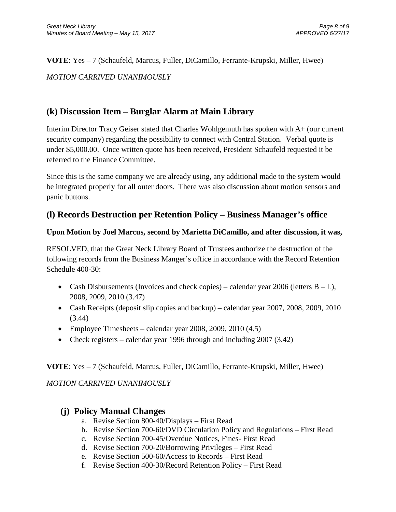**VOTE**: Yes – 7 (Schaufeld, Marcus, Fuller, DiCamillo, Ferrante-Krupski, Miller, Hwee) *MOTION CARRIVED UNANIMOUSLY*

# **(k) Discussion Item – Burglar Alarm at Main Library**

Interim Director Tracy Geiser stated that Charles Wohlgemuth has spoken with A+ (our current security company) regarding the possibility to connect with Central Station. Verbal quote is under \$5,000.00. Once written quote has been received, President Schaufeld requested it be referred to the Finance Committee.

Since this is the same company we are already using, any additional made to the system would be integrated properly for all outer doors. There was also discussion about motion sensors and panic buttons.

# **(l) Records Destruction per Retention Policy – Business Manager's office**

## **Upon Motion by Joel Marcus, second by Marietta DiCamillo, and after discussion, it was,**

RESOLVED, that the Great Neck Library Board of Trustees authorize the destruction of the following records from the Business Manger's office in accordance with the Record Retention Schedule 400-30:

- Cash Disbursements (Invoices and check copies) calendar year 2006 (letters  $B L$ ), 2008, 2009, 2010 (3.47)
- Cash Receipts (deposit slip copies and backup) calendar year 2007, 2008, 2009, 2010 (3.44)
- Employee Timesheets calendar year 2008, 2009, 2010  $(4.5)$
- Check registers calendar year 1996 through and including 2007 (3.42)

## **VOTE**: Yes – 7 (Schaufeld, Marcus, Fuller, DiCamillo, Ferrante-Krupski, Miller, Hwee)

*MOTION CARRIVED UNANIMOUSLY*

## **(j) Policy Manual Changes**

- a. Revise Section 800-40/Displays First Read
- b. Revise Section 700-60/DVD Circulation Policy and Regulations First Read
- c. Revise Section 700-45/Overdue Notices, Fines- First Read
- d. Revise Section 700-20/Borrowing Privileges First Read
- e. Revise Section 500-60/Access to Records First Read
- f. Revise Section 400-30/Record Retention Policy First Read